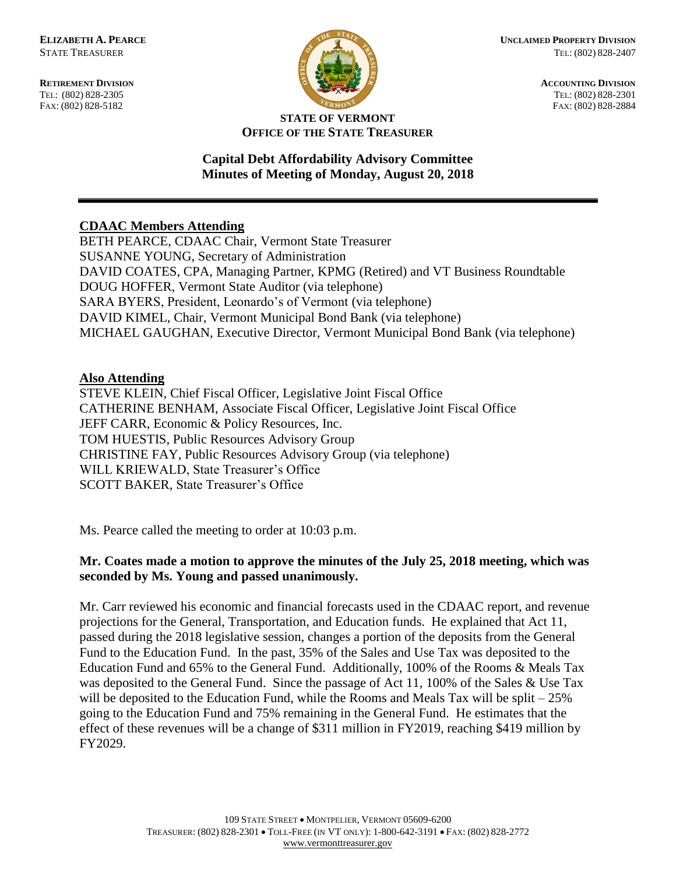FAX: (802) 828-5182



**RETIREMENT DIVISION ACCOUNTING DIVISION** TEL: (802) 828-2305<br>
FAX: (802) 828-2305<br>
FAX: (802) 828-2384<br>
TEL: (802) 828-2305<br>
FAX: (802) 828-2884

#### **STATE OF VERMONT OFFICE OF THE STATE TREASURER**

#### **Capital Debt Affordability Advisory Committee Minutes of Meeting of Monday, August 20, 2018**

# **CDAAC Members Attending**

BETH PEARCE, CDAAC Chair, Vermont State Treasurer SUSANNE YOUNG, Secretary of Administration DAVID COATES, CPA, Managing Partner, KPMG (Retired) and VT Business Roundtable DOUG HOFFER, Vermont State Auditor (via telephone) SARA BYERS, President, Leonardo's of Vermont (via telephone) DAVID KIMEL, Chair, Vermont Municipal Bond Bank (via telephone) MICHAEL GAUGHAN, Executive Director, Vermont Municipal Bond Bank (via telephone)

### **Also Attending**

STEVE KLEIN, Chief Fiscal Officer, Legislative Joint Fiscal Office CATHERINE BENHAM, Associate Fiscal Officer, Legislative Joint Fiscal Office JEFF CARR, Economic & Policy Resources, Inc. TOM HUESTIS, Public Resources Advisory Group CHRISTINE FAY, Public Resources Advisory Group (via telephone) WILL KRIEWALD, State Treasurer's Office SCOTT BAKER, State Treasurer's Office

Ms. Pearce called the meeting to order at 10:03 p.m.

# **Mr. Coates made a motion to approve the minutes of the July 25, 2018 meeting, which was seconded by Ms. Young and passed unanimously.**

Mr. Carr reviewed his economic and financial forecasts used in the CDAAC report, and revenue projections for the General, Transportation, and Education funds. He explained that Act 11, passed during the 2018 legislative session, changes a portion of the deposits from the General Fund to the Education Fund. In the past, 35% of the Sales and Use Tax was deposited to the Education Fund and 65% to the General Fund. Additionally, 100% of the Rooms & Meals Tax was deposited to the General Fund. Since the passage of Act 11, 100% of the Sales & Use Tax will be deposited to the Education Fund, while the Rooms and Meals Tax will be split – 25% going to the Education Fund and 75% remaining in the General Fund. He estimates that the effect of these revenues will be a change of \$311 million in FY2019, reaching \$419 million by FY2029.